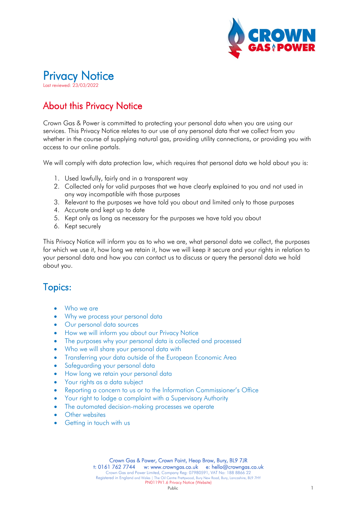

# Privacy Notice Last reviewed: 23/03/2022

## About this Privacy Notice

Crown Gas & Power is committed to protecting your personal data when you are using our services. This Privacy Notice relates to our use of any personal data that we collect from you whether in the course of supplying natural gas, providing utility connections, or providing you with access to our online portals.

We will comply with data protection law, which requires that personal data we hold about you is:

- <span id="page-0-0"></span>1. Used lawfully, fairly and in a transparent way
- 2. Collected only for valid purposes that we have clearly explained to you and not used in any way incompatible with those purposes
- 3. Relevant to the purposes we have told you about and limited only to those purposes
- 4. Accurate and kept up to date
- 5. Kept only as long as necessary for the purposes we have told you about
- 6. Kept securely

This Privacy Notice will inform you as to who we are, what personal data we collect, the purposes for which we use it, how long we retain it, how we will keep it secure and your rights in relation to your personal data and how you can contact us to discuss or query the personal data we hold about you.

### Topics:

- [Who we are](#page-1-0)
- [Why we process your personal data](#page-1-1)
- [Our personal data sources](#page-2-0)
- [How we will inform you about our Privacy Notice](#page-2-1)
- [The purposes why your personal data is collected and processed](#page-2-2)
- [Who we will share your personal data with](#page-5-0)
- [Transferring your data outside of the European Economic Area](#page-6-0)
- [Safeguarding your personal data](#page-6-1)
- [How long we retain your personal data](#page-6-2)
- [Your rights as a data subject](#page-6-3)
- [Reporting a concern to us or to the Information Commissioner's Office](#page-9-0)
- [Your right to lodge a complaint with a Supervisory Authority](#page-9-1)
- [The automated decision-making processes we operate](#page-10-0)
- [Other websites](#page-10-1)
- [Getting in touch with us](#page-10-2)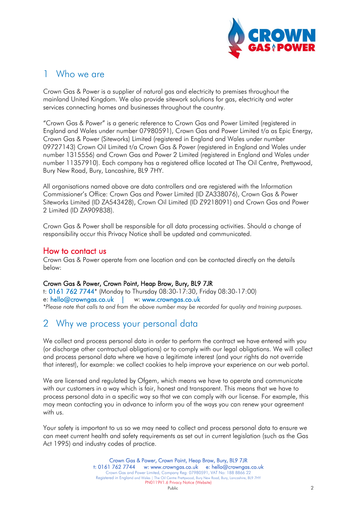

### <span id="page-1-0"></span>1 Who we are

Crown Gas & Power is a supplier of natural gas and electricity to premises throughout the mainland United Kingdom. We also provide sitework solutions for gas, electricity and water services connecting homes and businesses throughout the country.

"Crown Gas & Power" is a generic reference to Crown Gas and Power Limited (registered in England and Wales under number 07980591), Crown Gas and Power Limited t/a as Epic Energy, Crown Gas & Power (Siteworks) Limited (registered in England and Wales under number 09727143) Crown Oil Limited t/a Crown Gas & Power (registered in England and Wales under number 1315556) and Crown Gas and Power 2 Limited (registered in England and Wales under number 11357910). Each company has a registered office located at The Oil Centre, Prettywood, Bury New Road, Bury, Lancashire, BL9 7HY.

All organisations named above are data controllers and are registered with the Information Commissioner's Office: Crown Gas and Power Limited (ID ZA338076), Crown Gas & Power Siteworks Limited (ID ZA543428), Crown Oil Limited (ID Z9218091) and Crown Gas and Power 2 Limited (ID ZA909838).

Crown Gas & Power shall be responsible for all data processing activities. Should a change of responsibility occur this Privacy Notice shall be updated and communicated.

**How to contact us**<br>Crown Gas & Power operate from one location and can be contacted directly on the details below:

### Crown Gas & Power, Crown Point, Heap Brow, Bury, BL9 7JR

t: 0161 762 7744\* (Monday to Thursday 08:30-17:30, Friday 08:30-17:00) e: [hello@crowngas.co.uk](mailto:hello@crowngas.co.uk) | w: [www.crowngas.co.uk](http://www.crowngas.co.uk/) *\*Please note that calls to and from the above number may be recorded for quality and training purposes.*

### <span id="page-1-1"></span>2 Why we process your personal data

We collect and process personal data in order to perform the contract we have entered with you (or discharge other contractual obligations) or to comply with our legal obligations. We will collect and process personal data where we have a legitimate interest (and your rights do not override that interest), for example: we collect cookies to help improve your experience on our web portal.

We are licensed and regulated by Ofgem, which means we have to operate and communicate with our customers in a way which is fair, honest and transparent. This means that we have to process personal data in a specific way so that we can comply with our license. For example, this may mean contacting you in advance to inform you of the ways you can renew your agreement with us.

Your safety is important to us so we may need to collect and process personal data to ensure we can meet current health and safety requirements as set out in current legislation (such as the Gas Act 1995) and industry codes of practice.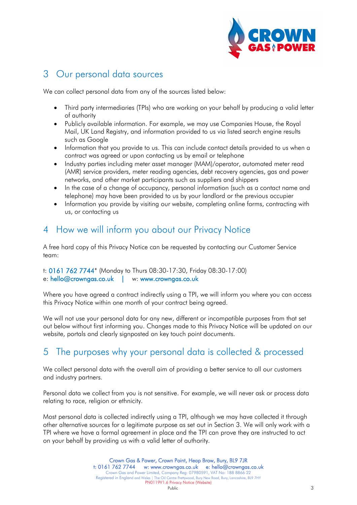

### <span id="page-2-0"></span>3 Our personal data sources

We can collect personal data from any of the sources listed below:

- Third party intermediaries (TPIs) who are working on your behalf by producing a valid letter of authority
- Publicly available information. For example, we may use Companies House, the Royal Mail, UK Land Registry, and information provided to us via listed search engine results such as Google
- Information that you provide to us. This can include contact details provided to us when a contract was agreed or upon contacting us by email or telephone
- Industry parties including meter asset manager (MAM)/operator, automated meter read (AMR) service providers, meter reading agencies, debt recovery agencies, gas and power networks, and other market participants such as suppliers and shippers
- In the case of a change of occupancy, personal information (such as a contact name and telephone) may have been provided to us by your landlord or the previous occupier
- Information you provide by visiting our website, completing online forms, contracting with us, or contacting us

### <span id="page-2-1"></span>4 How we will inform you about our Privacy Notice

A free hard copy of this Privacy Notice can be requested by contacting our Customer Service team:

```
t: 0161 762 7744* (Monday to Thurs 08:30-17:30, Friday 08:30-17:00)
e: hello@crowngas.co.uk | w: www.crowngas.co.uk
```
Where you have agreed a contract indirectly using a TPI, we will inform you where you can access this Privacy Notice within one month of your contract being agreed.

We will not use your personal data for any new, different or incompatible purposes from that set out below without first informing you. Changes made to this Privacy Notice will be updated on our website, portals and clearly signposted on key touch point documents.

### <span id="page-2-2"></span>5 The purposes why your personal data is collected & processed

We collect personal data with the overall aim of providing a better service to all our customers and industry partners.

Personal data we collect from you is not sensitive. For example, we will never ask or process data relating to race, religion or ethnicity.

Most personal data is collected indirectly using a TPI, although we may have collected it through other alternative sources for a legitimate purpose as set out in Section [3.](#page-2-0) We will only work with a TPI where we have a formal agreement in place and the TPI can prove they are instructed to act on your behalf by providing us with a valid letter of authority.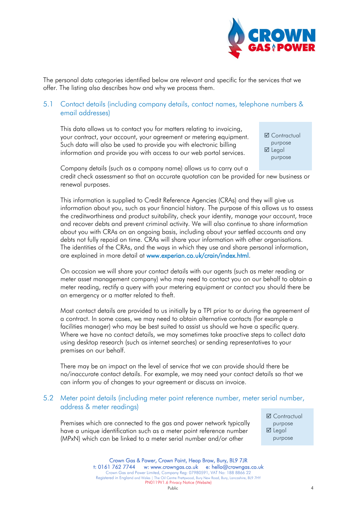

The personal data categories identified below are relevant and specific for the services that we offer. The listing also describes how and why we process them.

### 5.1 Contact details (including company details, contact names, telephone numbers & email addresses)

This data allows us to contact you for matters relating to invoicing, your contract, your account, your agreement or metering equipment. Such data will also be used to provide you with electronic billing information and provide you with access to our web portal services.

**Ø** Contractual purpose **Ø** Legal purpose

Company details (such as a company name) allows us to carry out a credit check assessment so that an accurate quotation can be provided for new business or renewal purposes.

This information is supplied to Credit Reference Agencies (CRAs) and they will give us information about you, such as your financial history. The purpose of this allows us to assess the creditworthiness and product suitability, check your identity, manage your account, trace and recover debts and prevent criminal activity. We will also continue to share information about you with CRAs on an ongoing basis, including about your settled accounts and any debts not fully repaid on time. CRAs will share your information with other organisations. The identities of the CRAs, and the ways in which they use and share personal information, are explained in more detail at [www.experian.co.uk/crain/index.html.](http://www.experian.co.uk/crain/index.html)

On occasion we will share your contact details with our agents (such as meter reading or meter asset management company) who may need to contact you on our behalf to obtain a meter reading, rectify a query with your metering equipment or contact you should there be an emergency or a matter related to theft.

Most contact details are provided to us initially by a TPI prior to or during the agreement of a contract. In some cases, we may need to obtain alternative contacts (for example a facilities manager) who may be best suited to assist us should we have a specific query. Where we have no contact details, we may sometimes take proactive steps to collect data using desktop research (such as internet searches) or sending representatives to your premises on our behalf.

There may be an impact on the level of service that we can provide should there be no/inaccurate contact details. For example, we may need your contact details so that we can inform you of changes to your agreement or discuss an invoice.

#### 5.2 Meter point details (including meter point reference number, meter serial number, address & meter readings)

Premises which are connected to the gas and power network typically have a unique identification such as a meter point reference number (MPxN) which can be linked to a meter serial number and/or other

**Ø** Contractual purpose  $\boxtimes$  Legal purpose

Crown Gas & Power, Crown Point, Heap Brow, Bury, BL9 7JR t: 0161 762 7744 w: [www.crowngas.co.uk](http://www.crowngas.co.uk/) e: hello@crowngas.co.uk Crown Gas and Power Limited, Company Reg: 07980591, VAT No: 188 8866 22 Registered in England and Wales | The Oil Centre Prettywood, Bury New Road, Bury, Lancashire, BL9 7HY PN0119V1.6 Privacy Notice (Website)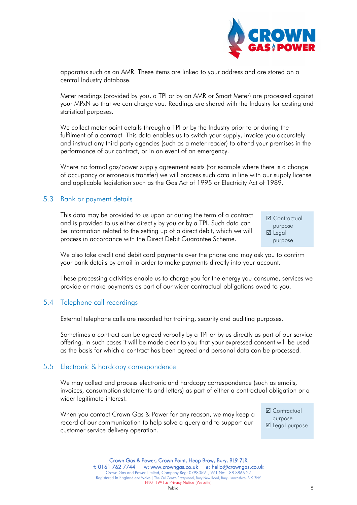apparatus such as an AMR. These items are linked to your address and are stored on a central Industry database.

Meter readings (provided by you, a TPI or by an AMR or Smart Meter) are processed against your MPxN so that we can charge you. Readings are shared with the Industry for costing and statistical purposes.

We collect meter point details through a TPI or by the Industry prior to or during the fulfilment of a contract. This data enables us to switch your supply, invoice you accurately and instruct any third party agencies (such as a meter reader) to attend your premises in the performance of our contract, or in an event of an emergency.

Where no formal gas/power supply agreement exists (for example where there is a change of occupancy or erroneous transfer) we will process such data in line with our supply license and applicable legislation such as the Gas Act of 1995 or Electricity Act of 1989.

#### 5.3 Bank or payment details

This data may be provided to us upon or during the term of a contract and is provided to us either directly by you or by a TPI. Such data can be information related to the setting up of a direct debit, which we will process in accordance with the Direct Debit Guarantee Scheme.

**Ø** Contractual purpose **Ø** Legal purpose

We also take credit and debit card payments over the phone and may ask you to confirm your bank details by email in order to make payments directly into your account.

These processing activities enable us to charge you for the energy you consume, services we provide or make payments as part of our wider contractual obligations owed to you.

#### 5.4 Telephone call recordings

External telephone calls are recorded for training, security and auditing purposes.

Sometimes a contract can be agreed verbally by a TPI or by us directly as part of our service offering. In such cases it will be made clear to you that your expressed consent will be used as the basis for which a contract has been agreed and personal data can be processed.

#### 5.5 Electronic & hardcopy correspondence

We may collect and process electronic and hardcopy correspondence (such as emails, invoices, consumption statements and letters) as part of either a contractual obligation or a wider legitimate interest.

When you contact Crown Gas & Power for any reason, we may keep a record of our communication to help solve a query and to support our customer service delivery operation.

**Ø** Contractual purpose **Ø** Legal purpose

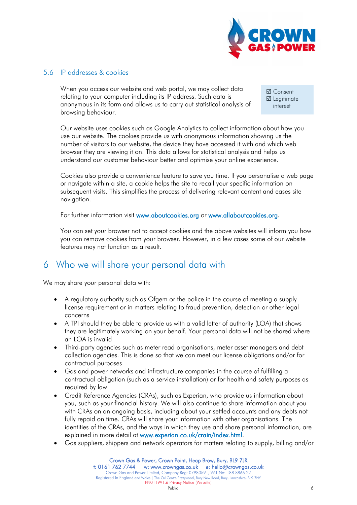

#### 5.6 IP addresses & cookies

When you access our website and web portal, we may collect data relating to your computer including its IP address. Such data is anonymous in its form and allows us to carry out statistical analysis of browsing behaviour.

**Ø** Consent **Ø** Legitimate interest

Our website uses cookies such as Google Analytics to collect information about how you use our website. The cookies provide us with anonymous information showing us the number of visitors to our website, the device they have accessed it with and which web browser they are viewing it on. This data allows for statistical analysis and helps us understand our customer behaviour better and optimise your online experience.

Cookies also provide a convenience feature to save you time. If you personalise a web page or navigate within a site, a cookie helps the site to recall your specific information on subsequent visits. This simplifies the process of delivering relevant content and eases site navigation.

For further information visit [www.aboutcookies.org](http://www.aboutcookies.org/) or [www.allaboutcookies.org.](http://www.allaboutcookies.org/)

You can set your browser not to accept cookies and the above websites will inform you how you can remove cookies from your browser. However, in a few cases some of our website features may not function as a result.

### <span id="page-5-0"></span>6 Who we will share your personal data with

We may share your personal data with:

- A regulatory authority such as Ofgem or the police in the course of meeting a supply license requirement or in matters relating to fraud prevention, detection or other legal concerns
- A TPI should they be able to provide us with a valid letter of authority (LOA) that shows they are legitimately working on your behalf. Your personal data will not be shared where an LOA is invalid
- Third-party agencies such as meter read organisations, meter asset managers and debt collection agencies. This is done so that we can meet our license obligations and/or for contractual purposes
- Gas and power networks and infrastructure companies in the course of fulfilling a contractual obligation (such as a service installation) or for health and safety purposes as required by law
- Credit Reference Agencies (CRAs), such as Experian, who provide us information about you, such as your financial history. We will also continue to share information about you with CRAs on an ongoing basis, including about your settled accounts and any debts not fully repaid on time. CRAs will share your information with other organisations. The identities of the CRAs, and the ways in which they use and share personal information, are explained in more detail at [www.experian.co.uk/crain/index.html.](http://www.experian.co.uk/crain/index.html)
- Gas suppliers, shippers and network operators for matters relating to supply, billing and/or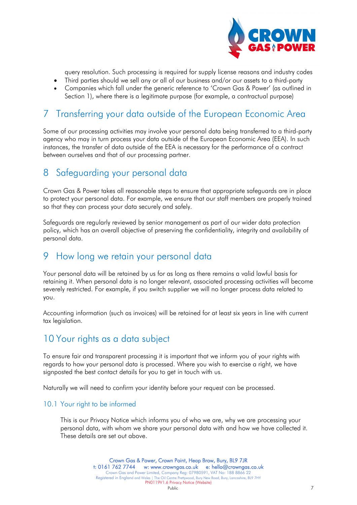

query resolution. Such processing is required for supply license reasons and industry codes

- Third parties should we sell any or all of our business and/or our assets to a third-party
- Companies which fall under the generic reference to 'Crown Gas & Power' (as outlined in Section [1\)](#page-0-0), where there is a legitimate purpose (for example, a contractual purpose)

### <span id="page-6-0"></span>7 Transferring your data outside of the European Economic Area

Some of our processing activities may involve your personal data being transferred to a third-party agency who may in turn process your data outside of the European Economic Area (EEA). In such instances, the transfer of data outside of the EEA is necessary for the performance of a contract between ourselves and that of our processing partner.

### <span id="page-6-1"></span>8 Safeguarding your personal data

Crown Gas & Power takes all reasonable steps to ensure that appropriate safeguards are in place to protect your personal data. For example, we ensure that our staff members are properly trained so that they can process your data securely and safely.

Safeguards are regularly reviewed by senior management as part of our wider data protection policy, which has an overall objective of preserving the confidentiality, integrity and availability of personal data.

### <span id="page-6-2"></span><sup>9</sup> How long we retain your personal data

Your personal data will be retained by us for as long as there remains a valid lawful basis for retaining it. When personal data is no longer relevant, associated processing activities will become severely restricted. For example, if you switch supplier we will no longer process data related to you.

Accounting information (such as invoices) will be retained for at least six years in line with current tax legislation.

### <span id="page-6-3"></span>10 Your rights as a data subject

To ensure fair and transparent processing it is important that we inform you of your rights with regards to how your personal data is processed. Where you wish to exercise a right, we have signposted the best contact details for you to get in touch with us.

Naturally we will need to confirm your identity before your request can be processed.

#### 10.1 Your right to be informed

This is our Privacy Notice which informs you of who we are, why we are processing your personal data, with whom we share your personal data with and how we have collected it. These details are set out above.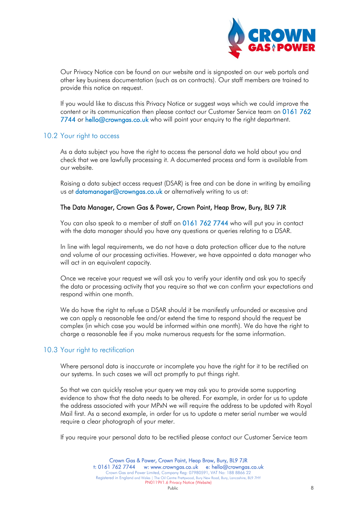

Our Privacy Notice can be found on our website and is signposted on our web portals and other key business documentation (such as on contracts). Our staff members are trained to provide this notice on request.

If you would like to discuss this Privacy Notice or suggest ways which we could improve the content or its communication then please contact our Customer Service team on 0161 762 7744 or [hello@crowngas.co.uk](mailto:hello@crowngas.co.uk) who will point your enquiry to the right department.

#### 10.2 Your right to access

As a data subject you have the right to access the personal data we hold about you and check that we are lawfully processing it. A documented process and form is available from our website.

Raising a data subject access request (DSAR) is free and can be done in writing by emailing us at [datamanager@crowngas.co.uk](mailto:datamanager@crowngas.co.uk) or alternatively writing to us at:

#### The Data Manager, Crown Gas & Power, Crown Point, Heap Brow, Bury, BL9 7JR

You can also speak to a member of staff on 0161 762 7744 who will put you in contact with the data manager should you have any questions or queries relating to a DSAR.

In line with legal requirements, we do not have a data protection officer due to the nature and volume of our processing activities. However, we have appointed a data manager who will act in an equivalent capacity.

Once we receive your request we will ask you to verify your identity and ask you to specify the data or processing activity that you require so that we can confirm your expectations and respond within one month.

We do have the right to refuse a DSAR should it be manifestly unfounded or excessive and we can apply a reasonable fee and/or extend the time to respond should the request be complex (in which case you would be informed within one month). We do have the right to charge a reasonable fee if you make numerous requests for the same information.

#### 10.3 Your right to rectification

Where personal data is inaccurate or incomplete you have the right for it to be rectified on our systems. In such cases we will act promptly to put things right.

So that we can quickly resolve your query we may ask you to provide some supporting evidence to show that the data needs to be altered. For example, in order for us to update the address associated with your MPxN we will require the address to be updated with Royal Mail first. As a second example, in order for us to update a meter serial number we would require a clear photograph of your meter.

If you require your personal data to be rectified please contact our Customer Service team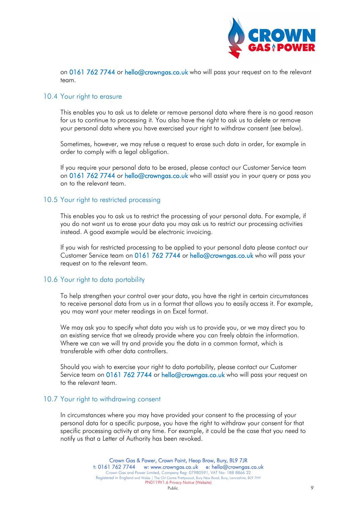

on 0161 762 7744 or [hello@crowngas.co.uk](mailto:hello@crowngas.co.uk) who will pass your request on to the relevant team.

#### 10.4 Your right to erasure

This enables you to ask us to delete or remove personal data where there is no good reason for us to continue to processing it. You also have the right to ask us to delete or remove your personal data where you have exercised your right to withdraw consent (see below).

Sometimes, however, we may refuse a request to erase such data in order, for example in order to comply with a legal obligation.

If you require your personal data to be erased, please contact our Customer Service team on 0161 762 7744 or [hello@crowngas.co.uk](mailto:hello@crowngas.co.uk) who will assist you in your query or pass you on to the relevant team.

### 10.5 Your right to restricted processing

This enables you to ask us to restrict the processing of your personal data. For example, if you do not want us to erase your data you may ask us to restrict our processing activities instead. A good example would be electronic invoicing.

If you wish for restricted processing to be applied to your personal data please contact our Customer Service team on 0161 762 7744 or [hello@crowngas.co.uk](mailto:hello@crowngas.co.uk) who will pass your request on to the relevant team.

#### 10.6 Your right to data portability

To help strengthen your control over your data, you have the right in certain circumstances to receive personal data from us in a format that allows you to easily access it. For example, you may want your meter readings in an Excel format.

We may ask you to specify what data you wish us to provide you, or we may direct you to an existing service that we already provide where you can freely obtain the information. Where we can we will try and provide you the data in a common format, which is transferable with other data controllers.

Should you wish to exercise your right to data portability, please contact our Customer Service team on 0161 762 7744 or [hello@crowngas.co.uk](mailto:hello@crowngas.co.uk) who will pass your request on to the relevant team.

#### 10.7 Your right to withdrawing consent

In circumstances where you may have provided your consent to the processing of your personal data for a specific purpose, you have the right to withdraw your consent for that specific processing activity at any time. For example, it could be the case that you need to notify us that a Letter of Authority has been revoked.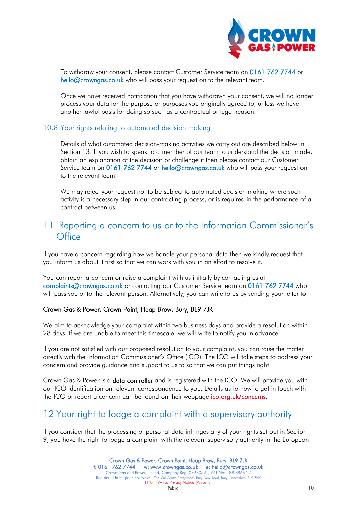

To withdraw your consent, please contact Customer Service team on 0161 762 7744 or [hello@crowngas.co.uk](mailto:hello@crowngas.co.uk) who will pass your request on to the relevant team.

Once we have received notification that you have withdrawn your consent, we will no longer process your data for the purpose or purposes you originally agreed to, unless we have another lawful basis for doing so such as a contractual or legal reason.

#### 10.8 Your rights relating to automated decision making

Details of what automated decision-making activities we carry out are described below in Section 13. If you wish to speak to a member of our team to understand the decision made, obtain an explanation of the decision or challenge it then please contact our Customer Service team on 0161 762 7744 or [hello@crowngas.co.uk](mailto:hello@crowngas.co.uk) who will pass your request on to the relevant team.

We may reject your request not to be subject to automated decision making where such activity is a necessary step in our contracting process, or is required in the performance of a contract between us.

### <span id="page-9-0"></span>11 Reporting a concern to us or to the Information Commissioner's **Office**

If you have a concern regarding how we handle your personal data then we kindly request that you inform us about it first so that we can work with you in an effort to resolve it.

You can report a concern or raise a complaint with us initially by contacting us at [complaints@crowngas.co.uk](mailto:complaints@crowngas.co.uk) or contacting our Customer Service team on 0161 762 7744 who will pass you onto the relevant person. Alternatively, you can write to us by sending your letter to:

#### Crown Gas & Power, Crown Point, Heap Brow, Bury, BL9 7JR

We aim to acknowledge your complaint within two business days and provide a resolution within 28 days. If we are unable to meet this timescale, we will write to notify you in advance.

If you are not satisfied with our proposed resolution to your complaint, you can raise the matter directly with the Information Commissioner's Office (ICO). The ICO will take steps to address your concern and provide guidance and support to us to so that we can put things right.

Crown Gas & Power is a data controller and is registered with the ICO. We will provide you with our ICO identification on relevant correspondence to you. Details as to how to get in touch with the ICO or report a concern can be found on their webpage [ico.org.uk/concerns.](https://ico.org.uk/concerns/)

### <span id="page-9-1"></span>12 Your right to lodge a complaint with a supervisory authority

If you consider that the processing of personal data infringes any of your rights set out in Section 9, you have the right to lodge a complaint with the relevant supervisory authority in the European

> Crown Gas & Power, Crown Point, Heap Brow, Bury, BL9 7JR t: 0161 762 7744 w: [www.crowngas.co.uk](http://www.crowngas.co.uk/) e: hello@crowngas.co.uk Crown Gas and Power Limited, Company Reg: 07980591, VAT No: 188 8866 22 Registered in England and Wales | The Oil Centre Prettywood, Bury New Road, Bury, Lancashire, BL9 7HY PN0119V1.6 Privacy Notice (Website)